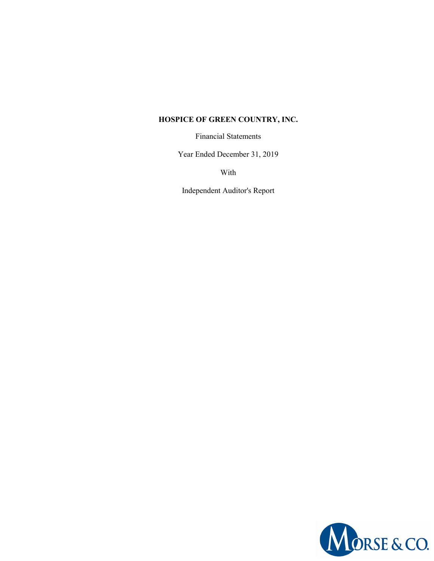# **HOSPICE OF GREEN COUNTRY, INC.**

Financial Statements

Year Ended December 31, 2019

With

Independent Auditor's Report

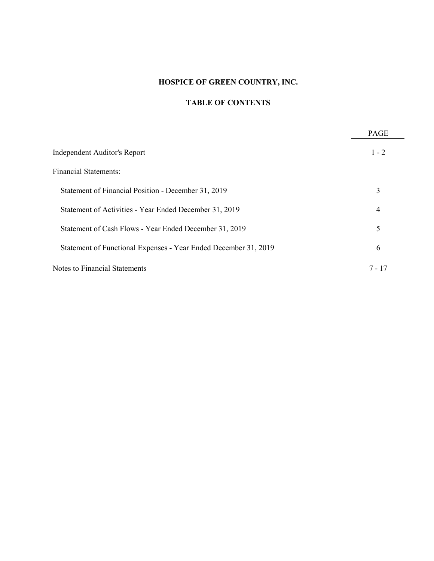# **HOSPICE OF GREEN COUNTRY, INC.**

# **TABLE OF CONTENTS**

|                                                                 | <b>PAGE</b>    |
|-----------------------------------------------------------------|----------------|
| Independent Auditor's Report                                    | $1 - 2$        |
| <b>Financial Statements:</b>                                    |                |
| Statement of Financial Position - December 31, 2019             | 3              |
| Statement of Activities - Year Ended December 31, 2019          | $\overline{4}$ |
| Statement of Cash Flows - Year Ended December 31, 2019          | 5              |
| Statement of Functional Expenses - Year Ended December 31, 2019 | 6              |
| Notes to Financial Statements                                   | 7 - 17         |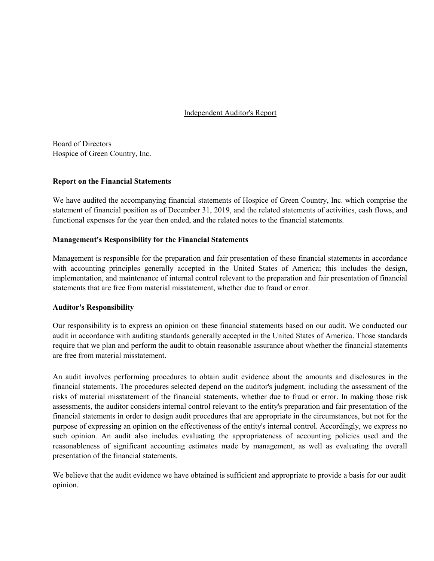Independent Auditor's Report

Board of Directors Hospice of Green Country, Inc.

#### **Report on the Financial Statements**

We have audited the accompanying financial statements of Hospice of Green Country, Inc. which comprise the statement of financial position as of December 31, 2019, and the related statements of activities, cash flows, and functional expenses for the year then ended, and the related notes to the financial statements.

#### **Management's Responsibility for the Financial Statements**

Management is responsible for the preparation and fair presentation of these financial statements in accordance with accounting principles generally accepted in the United States of America; this includes the design, implementation, and maintenance of internal control relevant to the preparation and fair presentation of financial statements that are free from material misstatement, whether due to fraud or error.

#### **Auditor's Responsibility**

Our responsibility is to express an opinion on these financial statements based on our audit. We conducted our audit in accordance with auditing standards generally accepted in the United States of America. Those standards require that we plan and perform the audit to obtain reasonable assurance about whether the financial statements are free from material misstatement.

An audit involves performing procedures to obtain audit evidence about the amounts and disclosures in the financial statements. The procedures selected depend on the auditor's judgment, including the assessment of the risks of material misstatement of the financial statements, whether due to fraud or error. In making those risk assessments, the auditor considers internal control relevant to the entity's preparation and fair presentation of the financial statements in order to design audit procedures that are appropriate in the circumstances, but not for the purpose of expressing an opinion on the effectiveness of the entity's internal control. Accordingly, we express no such opinion. An audit also includes evaluating the appropriateness of accounting policies used and the reasonableness of significant accounting estimates made by management, as well as evaluating the overall presentation of the financial statements.

We believe that the audit evidence we have obtained is sufficient and appropriate to provide a basis for our audit opinion.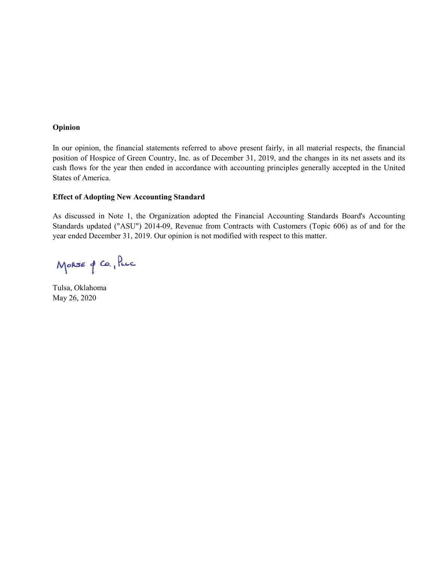#### **Opinion**

In our opinion, the financial statements referred to above present fairly, in all material respects, the financial position of Hospice of Green Country, Inc. as of December 31, 2019, and the changes in its net assets and its cash flows for the year then ended in accordance with accounting principles generally accepted in the United States of America.

#### **Effect of Adopting New Accounting Standard**

As discussed in Note 1, the Organization adopted the Financial Accounting Standards Board's Accounting Standards updated ("ASU") 2014-09, Revenue from Contracts with Customers (Topic 606) as of and for the year ended December 31, 2019. Our opinion is not modified with respect to this matter.

MORSE & CO., PLLC

Tulsa, Oklahoma May 26, 2020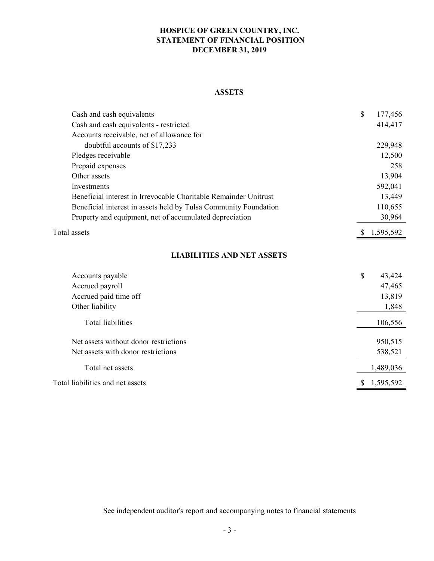# **HOSPICE OF GREEN COUNTRY, INC. STATEMENT OF FINANCIAL POSITION DECEMBER 31, 2019**

#### **ASSETS**

| Cash and cash equivalents                                        | \$<br>177,456  |
|------------------------------------------------------------------|----------------|
| Cash and cash equivalents - restricted                           | 414,417        |
| Accounts receivable, net of allowance for                        |                |
| doubtful accounts of \$17,233                                    | 229,948        |
| Pledges receivable                                               | 12,500         |
| Prepaid expenses                                                 | 258            |
| Other assets                                                     | 13,904         |
| Investments                                                      | 592,041        |
| Beneficial interest in Irrevocable Charitable Remainder Unitrust | 13,449         |
| Beneficial interest in assets held by Tulsa Community Foundation | 110,655        |
| Property and equipment, net of accumulated depreciation          | 30,964         |
| Total assets                                                     | 1,595,592      |
| <b>LIABILITIES AND NET ASSETS</b>                                |                |
| Accounts payable                                                 | \$<br>43,424   |
| Accrued payroll                                                  | 47,465         |
| Accrued paid time off                                            | 13,819         |
| Other liability                                                  | 1,848          |
| <b>Total liabilities</b>                                         | 106,556        |
| Net assets without donor restrictions                            | 950,515        |
| Net assets with donor restrictions                               | 538,521        |
| Total net assets                                                 | 1,489,036      |
| Total liabilities and net assets                                 | 1,595,592<br>S |

See independent auditor's report and accompanying notes to financial statements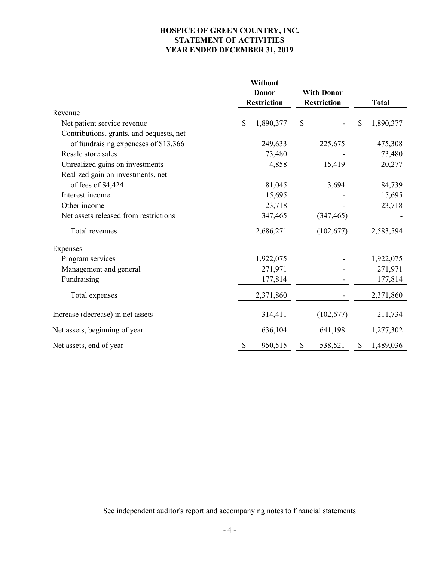# **HOSPICE OF GREEN COUNTRY, INC. STATEMENT OF ACTIVITIES YEAR ENDED DECEMBER 31, 2019**

|                                          | Without            |                    |                 |
|------------------------------------------|--------------------|--------------------|-----------------|
|                                          | <b>Donor</b>       | <b>With Donor</b>  |                 |
|                                          | <b>Restriction</b> | <b>Restriction</b> | <b>Total</b>    |
| Revenue                                  |                    |                    |                 |
| Net patient service revenue              | 1,890,377<br>\$    | \$                 | 1,890,377<br>\$ |
| Contributions, grants, and bequests, net |                    |                    |                 |
| of fundraising expeneses of \$13,366     | 249,633            | 225,675            | 475,308         |
| Resale store sales                       | 73,480             |                    | 73,480          |
| Unrealized gains on investments          | 4,858              | 15,419             | 20,277          |
| Realized gain on investments, net        |                    |                    |                 |
| of fees of \$4,424                       | 81,045             | 3,694              | 84,739          |
| Interest income                          | 15,695             |                    | 15,695          |
| Other income                             | 23,718             |                    | 23,718          |
| Net assets released from restrictions    | 347,465            | (347, 465)         |                 |
| Total revenues                           | 2,686,271          | (102,677)          | 2,583,594       |
| Expenses                                 |                    |                    |                 |
| Program services                         | 1,922,075          |                    | 1,922,075       |
| Management and general                   | 271,971            |                    | 271,971         |
| Fundraising                              | 177,814            |                    | 177,814         |
| Total expenses                           | 2,371,860          |                    | 2,371,860       |
| Increase (decrease) in net assets        | 314,411            | (102,677)          | 211,734         |
| Net assets, beginning of year            | 636,104            | 641,198            | 1,277,302       |
| Net assets, end of year                  | 950,515<br>\$      | 538,521<br>\$      | 1,489,036       |

See independent auditor's report and accompanying notes to financial statements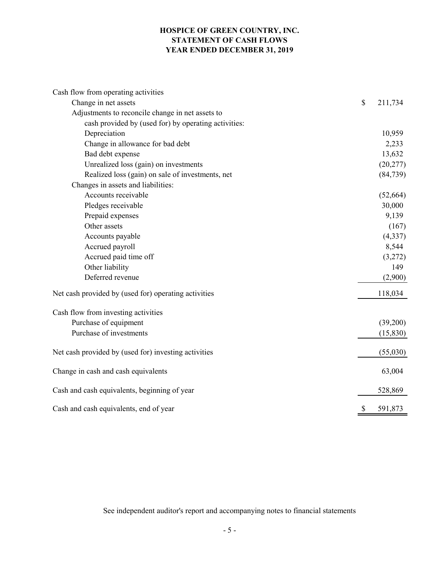# **HOSPICE OF GREEN COUNTRY, INC. STATEMENT OF CASH FLOWS YEAR ENDED DECEMBER 31, 2019**

| Cash flow from operating activities                  |               |
|------------------------------------------------------|---------------|
| Change in net assets                                 | \$<br>211,734 |
| Adjustments to reconcile change in net assets to     |               |
| cash provided by (used for) by operating activities: |               |
| Depreciation                                         | 10,959        |
| Change in allowance for bad debt                     | 2,233         |
| Bad debt expense                                     | 13,632        |
| Unrealized loss (gain) on investments                | (20, 277)     |
| Realized loss (gain) on sale of investments, net     | (84, 739)     |
| Changes in assets and liabilities:                   |               |
| Accounts receivable                                  | (52, 664)     |
| Pledges receivable                                   | 30,000        |
| Prepaid expenses                                     | 9,139         |
| Other assets                                         | (167)         |
| Accounts payable                                     | (4, 337)      |
| Accrued payroll                                      | 8,544         |
| Accrued paid time off                                | (3,272)       |
| Other liability                                      | 149           |
| Deferred revenue                                     | (2,900)       |
| Net cash provided by (used for) operating activities | 118,034       |
| Cash flow from investing activities                  |               |
| Purchase of equipment                                | (39,200)      |
| Purchase of investments                              | (15,830)      |
| Net cash provided by (used for) investing activities | (55,030)      |
| Change in cash and cash equivalents                  | 63,004        |
| Cash and cash equivalents, beginning of year         | 528,869       |
| Cash and cash equivalents, end of year               | \$<br>591,873 |

See independent auditor's report and accompanying notes to financial statements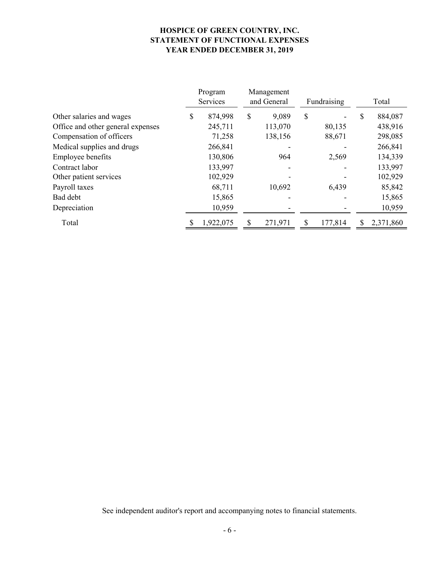# **HOSPICE OF GREEN COUNTRY, INC. STATEMENT OF FUNCTIONAL EXPENSES YEAR ENDED DECEMBER 31, 2019**

|                                   | Program<br>Services | Management<br>and General |         | Fundraising |         | Total |           |
|-----------------------------------|---------------------|---------------------------|---------|-------------|---------|-------|-----------|
| Other salaries and wages          | \$<br>874,998       | \$                        | 9,089   | \$          |         | \$    | 884,087   |
| Office and other general expenses | 245,711             |                           | 113,070 |             | 80,135  |       | 438,916   |
| Compensation of officers          | 71,258              |                           | 138,156 |             | 88,671  |       | 298,085   |
| Medical supplies and drugs        | 266,841             |                           |         |             |         |       | 266,841   |
| Employee benefits                 | 130,806             |                           | 964     |             | 2,569   |       | 134,339   |
| Contract labor                    | 133,997             |                           |         |             |         |       | 133,997   |
| Other patient services            | 102,929             |                           |         |             |         |       | 102,929   |
| Payroll taxes                     | 68,711              |                           | 10,692  |             | 6,439   |       | 85,842    |
| Bad debt                          | 15,865              |                           |         |             |         |       | 15,865    |
| Depreciation                      | 10,959              |                           |         |             |         |       | 10,959    |
| Total                             | 1,922,075           |                           | 271,971 |             | 177,814 |       | 2,371,860 |

See independent auditor's report and accompanying notes to financial statements.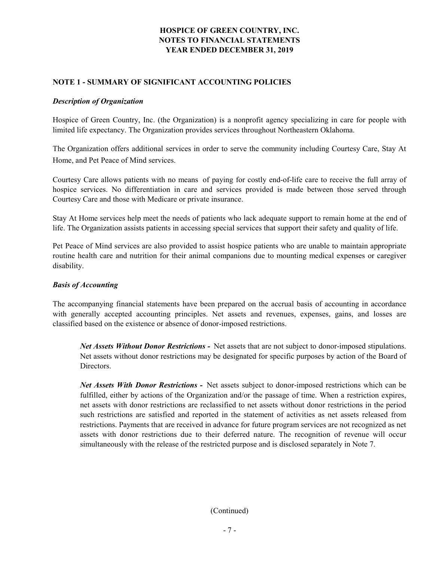### **NOTE 1 - SUMMARY OF SIGNIFICANT ACCOUNTING POLICIES**

#### *Description of Organization*

Hospice of Green Country, Inc. (the Organization) is a nonprofit agency specializing in care for people with limited life expectancy. The Organization provides services throughout Northeastern Oklahoma.

The Organization offers additional services in order to serve the community including Courtesy Care, Stay At Home, and Pet Peace of Mind services.

Courtesy Care allows patients with no means of paying for costly end-of-life care to receive the full array of hospice services. No differentiation in care and services provided is made between those served through Courtesy Care and those with Medicare or private insurance.

Stay At Home services help meet the needs of patients who lack adequate support to remain home at the end of life. The Organization assists patients in accessing special services that support their safety and quality of life.

Pet Peace of Mind services are also provided to assist hospice patients who are unable to maintain appropriate routine health care and nutrition for their animal companions due to mounting medical expenses or caregiver disability.

#### *Basis of Accounting*

The accompanying financial statements have been prepared on the accrual basis of accounting in accordance with generally accepted accounting principles. Net assets and revenues, expenses, gains, and losses are classified based on the existence or absence of donor-imposed restrictions.

*Net Assets Without Donor Restrictions -* Net assets that are not subject to donor-imposed stipulations. Net assets without donor restrictions may be designated for specific purposes by action of the Board of Directors.

*Net Assets With Donor Restrictions -* Net assets subject to donor-imposed restrictions which can be fulfilled, either by actions of the Organization and/or the passage of time. When a restriction expires, net assets with donor restrictions are reclassified to net assets without donor restrictions in the period such restrictions are satisfied and reported in the statement of activities as net assets released from restrictions. Payments that are received in advance for future program services are not recognized as net assets with donor restrictions due to their deferred nature. The recognition of revenue will occur simultaneously with the release of the restricted purpose and is disclosed separately in Note 7.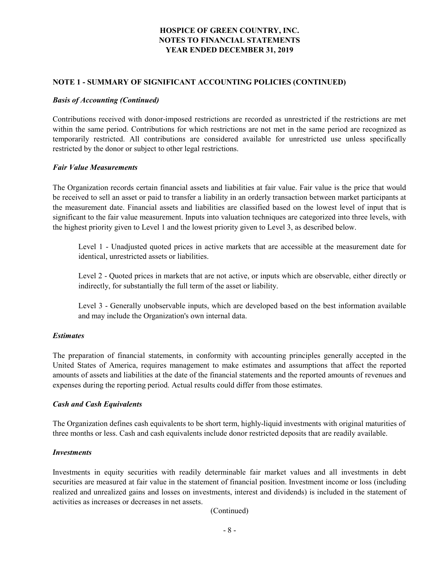#### **NOTE 1 - SUMMARY OF SIGNIFICANT ACCOUNTING POLICIES (CONTINUED)**

#### *Basis of Accounting (Continued)*

Contributions received with donor-imposed restrictions are recorded as unrestricted if the restrictions are met within the same period. Contributions for which restrictions are not met in the same period are recognized as temporarily restricted. All contributions are considered available for unrestricted use unless specifically restricted by the donor or subject to other legal restrictions.

#### *Fair Value Measurements*

The Organization records certain financial assets and liabilities at fair value. Fair value is the price that would be received to sell an asset or paid to transfer a liability in an orderly transaction between market participants at the measurement date. Financial assets and liabilities are classified based on the lowest level of input that is significant to the fair value measurement. Inputs into valuation techniques are categorized into three levels, with the highest priority given to Level 1 and the lowest priority given to Level 3, as described below.

Level 1 - Unadjusted quoted prices in active markets that are accessible at the measurement date for identical, unrestricted assets or liabilities.

Level 2 - Quoted prices in markets that are not active, or inputs which are observable, either directly or indirectly, for substantially the full term of the asset or liability.

Level 3 - Generally unobservable inputs, which are developed based on the best information available and may include the Organization's own internal data.

#### *Estimates*

The preparation of financial statements, in conformity with accounting principles generally accepted in the United States of America, requires management to make estimates and assumptions that affect the reported amounts of assets and liabilities at the date of the financial statements and the reported amounts of revenues and expenses during the reporting period. Actual results could differ from those estimates.

#### *Cash and Cash Equivalents*

The Organization defines cash equivalents to be short term, highly-liquid investments with original maturities of three months or less. Cash and cash equivalents include donor restricted deposits that are readily available.

#### *Investments*

Investments in equity securities with readily determinable fair market values and all investments in debt securities are measured at fair value in the statement of financial position. Investment income or loss (including realized and unrealized gains and losses on investments, interest and dividends) is included in the statement of activities as increases or decreases in net assets.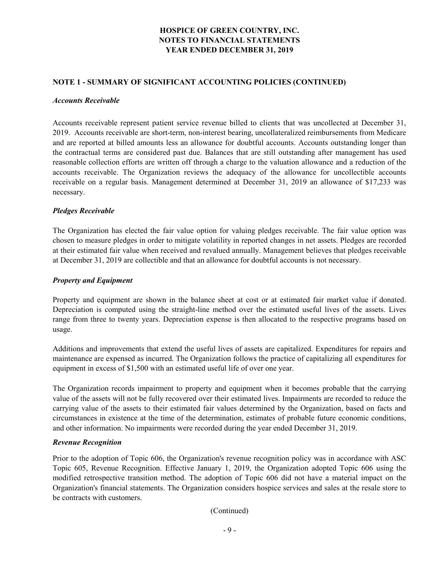### **NOTE 1 - SUMMARY OF SIGNIFICANT ACCOUNTING POLICIES (CONTINUED)**

#### *Accounts Receivable*

Accounts receivable represent patient service revenue billed to clients that was uncollected at December 31, 2019. Accounts receivable are short-term, non-interest bearing, uncollateralized reimbursements from Medicare and are reported at billed amounts less an allowance for doubtful accounts. Accounts outstanding longer than the contractual terms are considered past due. Balances that are still outstanding after management has used reasonable collection efforts are written off through a charge to the valuation allowance and a reduction of the accounts receivable. The Organization reviews the adequacy of the allowance for uncollectible accounts receivable on a regular basis. Management determined at December 31, 2019 an allowance of \$17,233 was necessary.

#### *Pledges Receivable*

The Organization has elected the fair value option for valuing pledges receivable. The fair value option was chosen to measure pledges in order to mitigate volatility in reported changes in net assets. Pledges are recorded at their estimated fair value when received and revalued annually. Management believes that pledges receivable at December 31, 2019 are collectible and that an allowance for doubtful accounts is not necessary.

#### *Property and Equipment*

Property and equipment are shown in the balance sheet at cost or at estimated fair market value if donated. Depreciation is computed using the straight-line method over the estimated useful lives of the assets. Lives range from three to twenty years. Depreciation expense is then allocated to the respective programs based on usage.

Additions and improvements that extend the useful lives of assets are capitalized. Expenditures for repairs and maintenance are expensed as incurred. The Organization follows the practice of capitalizing all expenditures for equipment in excess of \$1,500 with an estimated useful life of over one year.

The Organization records impairment to property and equipment when it becomes probable that the carrying value of the assets will not be fully recovered over their estimated lives. Impairments are recorded to reduce the carrying value of the assets to their estimated fair values determined by the Organization, based on facts and circumstances in existence at the time of the determination, estimates of probable future economic conditions, and other information. No impairments were recorded during the year ended December 31, 2019.

#### *Revenue Recognition*

Prior to the adoption of Topic 606, the Organization's revenue recognition policy was in accordance with ASC Topic 605, Revenue Recognition. Effective January 1, 2019, the Organization adopted Topic 606 using the modified retrospective transition method. The adoption of Topic 606 did not have a material impact on the Organization's financial statements. The Organization considers hospice services and sales at the resale store to be contracts with customers.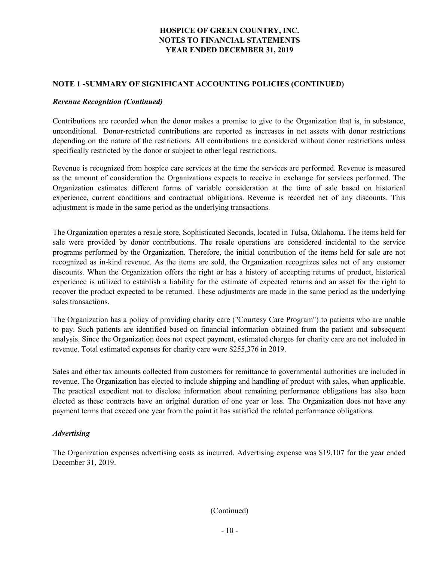#### **NOTE 1 -SUMMARY OF SIGNIFICANT ACCOUNTING POLICIES (CONTINUED)**

#### *Revenue Recognition (Continued)*

Contributions are recorded when the donor makes a promise to give to the Organization that is, in substance, unconditional. Donor-restricted contributions are reported as increases in net assets with donor restrictions depending on the nature of the restrictions. All contributions are considered without donor restrictions unless specifically restricted by the donor or subject to other legal restrictions.

Revenue is recognized from hospice care services at the time the services are performed. Revenue is measured as the amount of consideration the Organizations expects to receive in exchange for services performed. The Organization estimates different forms of variable consideration at the time of sale based on historical experience, current conditions and contractual obligations. Revenue is recorded net of any discounts. This adjustment is made in the same period as the underlying transactions.

The Organization operates a resale store, Sophisticated Seconds, located in Tulsa, Oklahoma. The items held for sale were provided by donor contributions. The resale operations are considered incidental to the service programs performed by the Organization. Therefore, the initial contribution of the items held for sale are not recognized as in-kind revenue. As the items are sold, the Organization recognizes sales net of any customer discounts. When the Organization offers the right or has a history of accepting returns of product, historical experience is utilized to establish a liability for the estimate of expected returns and an asset for the right to recover the product expected to be returned. These adjustments are made in the same period as the underlying sales transactions.

The Organization has a policy of providing charity care ("Courtesy Care Program") to patients who are unable to pay. Such patients are identified based on financial information obtained from the patient and subsequent analysis. Since the Organization does not expect payment, estimated charges for charity care are not included in revenue. Total estimated expenses for charity care were \$255,376 in 2019.

Sales and other tax amounts collected from customers for remittance to governmental authorities are included in revenue. The Organization has elected to include shipping and handling of product with sales, when applicable. The practical expedient not to disclose information about remaining performance obligations has also been elected as these contracts have an original duration of one year or less. The Organization does not have any payment terms that exceed one year from the point it has satisfied the related performance obligations.

#### *Advertising*

The Organization expenses advertising costs as incurred. Advertising expense was \$19,107 for the year ended December 31, 2019.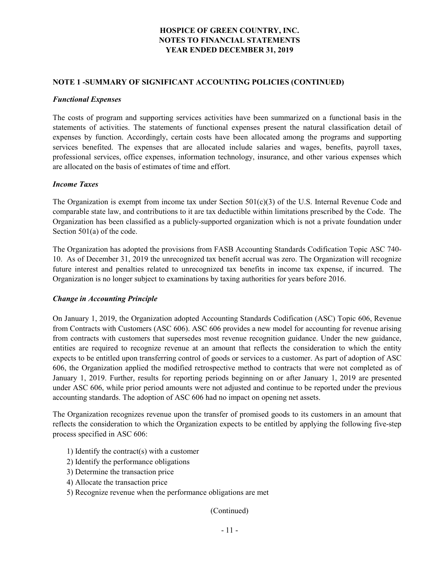#### **NOTE 1 -SUMMARY OF SIGNIFICANT ACCOUNTING POLICIES (CONTINUED)**

#### *Functional Expenses*

The costs of program and supporting services activities have been summarized on a functional basis in the statements of activities. The statements of functional expenses present the natural classification detail of expenses by function. Accordingly, certain costs have been allocated among the programs and supporting services benefited. The expenses that are allocated include salaries and wages, benefits, payroll taxes, professional services, office expenses, information technology, insurance, and other various expenses which are allocated on the basis of estimates of time and effort.

#### *Income Taxes*

The Organization is exempt from income tax under Section  $501(c)(3)$  of the U.S. Internal Revenue Code and comparable state law, and contributions to it are tax deductible within limitations prescribed by the Code. The Organization has been classified as a publicly-supported organization which is not a private foundation under Section 501(a) of the code.

The Organization has adopted the provisions from FASB Accounting Standards Codification Topic ASC 740- 10. As of December 31, 2019 the unrecognized tax benefit accrual was zero. The Organization will recognize future interest and penalties related to unrecognized tax benefits in income tax expense, if incurred. The Organization is no longer subject to examinations by taxing authorities for years before 2016.

#### *Change in Accounting Principle*

On January 1, 2019, the Organization adopted Accounting Standards Codification (ASC) Topic 606, Revenue from Contracts with Customers (ASC 606). ASC 606 provides a new model for accounting for revenue arising from contracts with customers that supersedes most revenue recognition guidance. Under the new guidance, entities are required to recognize revenue at an amount that reflects the consideration to which the entity expects to be entitled upon transferring control of goods or services to a customer. As part of adoption of ASC 606, the Organization applied the modified retrospective method to contracts that were not completed as of January 1, 2019. Further, results for reporting periods beginning on or after January 1, 2019 are presented under ASC 606, while prior period amounts were not adjusted and continue to be reported under the previous accounting standards. The adoption of ASC 606 had no impact on opening net assets.

The Organization recognizes revenue upon the transfer of promised goods to its customers in an amount that reflects the consideration to which the Organization expects to be entitled by applying the following five-step process specified in ASC 606:

- 1) Identify the contract(s) with a customer
- 2) Identify the performance obligations
- 3) Determine the transaction price
- 4) Allocate the transaction price
- 5) Recognize revenue when the performance obligations are met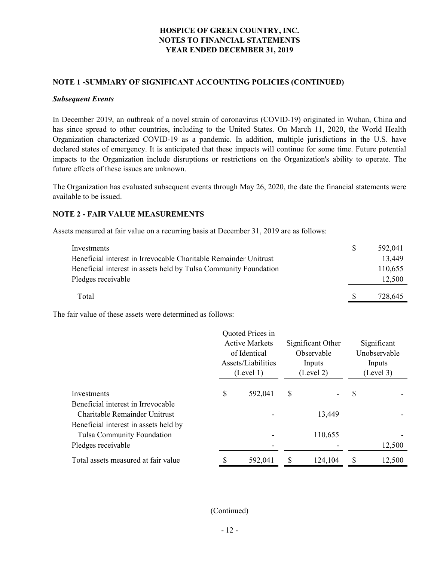#### **NOTE 1 -SUMMARY OF SIGNIFICANT ACCOUNTING POLICIES (CONTINUED)**

#### *Subsequent Events*

In December 2019, an outbreak of a novel strain of coronavirus (COVID-19) originated in Wuhan, China and has since spread to other countries, including to the United States. On March 11, 2020, the World Health Organization characterized COVID-19 as a pandemic. In addition, multiple jurisdictions in the U.S. have declared states of emergency. It is anticipated that these impacts will continue for some time. Future potential impacts to the Organization include disruptions or restrictions on the Organization's ability to operate. The future effects of these issues are unknown.

The Organization has evaluated subsequent events through May 26, 2020, the date the financial statements were available to be issued.

#### **NOTE 2 - FAIR VALUE MEASUREMENTS**

Assets measured at fair value on a recurring basis at December 31, 2019 are as follows:

| Investments                                                      | 592,041 |
|------------------------------------------------------------------|---------|
| Beneficial interest in Irrevocable Charitable Remainder Unitrust | 13,449  |
| Beneficial interest in assets held by Tulsa Community Foundation | 110,655 |
| Pledges receivable                                               | 12,500  |
|                                                                  |         |
| Total                                                            | 728,645 |

The fair value of these assets were determined as follows:

|                                       | Quoted Prices in<br><b>Active Markets</b><br>of Identical<br>Assets/Liabilities<br>(Level 1) |         |    | Significant Other<br>Observable<br>Inputs<br>(Level 2) | Significant<br>Unobservable<br>Inputs<br>(Level 3) |
|---------------------------------------|----------------------------------------------------------------------------------------------|---------|----|--------------------------------------------------------|----------------------------------------------------|
| Investments                           | \$                                                                                           | 592,041 | \$ |                                                        | \$                                                 |
| Beneficial interest in Irrevocable    |                                                                                              |         |    |                                                        |                                                    |
| Charitable Remainder Unitrust         |                                                                                              |         |    | 13,449                                                 |                                                    |
| Beneficial interest in assets held by |                                                                                              |         |    |                                                        |                                                    |
| Tulsa Community Foundation            |                                                                                              |         |    | 110,655                                                |                                                    |
| Pledges receivable                    |                                                                                              |         |    |                                                        | 12,500                                             |
| Total assets measured at fair value   | \$                                                                                           | 592,041 | S  | 124,104                                                | \$<br>12,500                                       |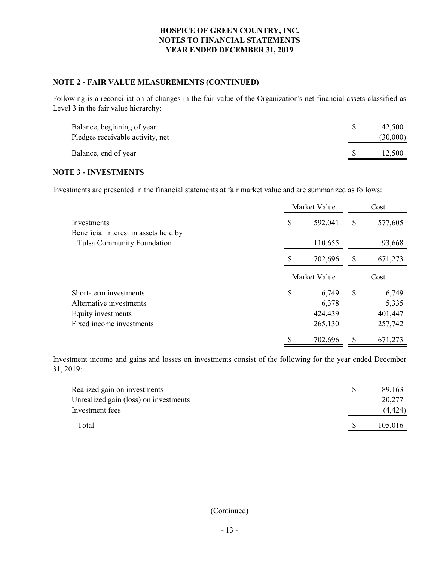### **NOTE 2 - FAIR VALUE MEASUREMENTS (CONTINUED)**

Following is a reconciliation of changes in the fair value of the Organization's net financial assets classified as Level 3 in the fair value hierarchy:

| Balance, beginning of year<br>Pledges receivable activity, net | 42,500<br>(30,000) |
|----------------------------------------------------------------|--------------------|
| Balance, end of year                                           | 12.500             |

### **NOTE 3 - INVESTMENTS**

Investments are presented in the financial statements at fair market value and are summarized as follows:

|                                       | Market Value |         | Cost |         |
|---------------------------------------|--------------|---------|------|---------|
| Investments                           | \$           | 592,041 | \$   | 577,605 |
| Beneficial interest in assets held by |              |         |      |         |
| Tulsa Community Foundation            |              | 110,655 |      | 93,668  |
|                                       | 702,696      |         | S    | 671,273 |
|                                       | Market Value |         | Cost |         |
| Short-term investments                | \$           | 6,749   | \$   | 6,749   |
| Alternative investments               |              | 6,378   |      | 5,335   |
| Equity investments                    |              | 424,439 |      | 401,447 |
| Fixed income investments              | 265,130      |         |      | 257,742 |
|                                       |              | 702,696 | \$   | 671,273 |

Investment income and gains and losses on investments consist of the following for the year ended December 31, 2019:

| Realized gain on investments          |  | 89.163   |
|---------------------------------------|--|----------|
| Unrealized gain (loss) on investments |  | 20,277   |
| Investment fees                       |  | (4, 424) |
| Total                                 |  | 105,016  |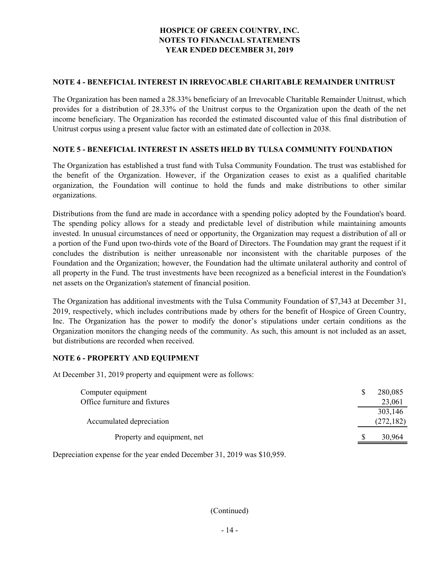#### **NOTE 4 - BENEFICIAL INTEREST IN IRREVOCABLE CHARITABLE REMAINDER UNITRUST**

The Organization has been named a 28.33% beneficiary of an Irrevocable Charitable Remainder Unitrust, which provides for a distribution of 28.33% of the Unitrust corpus to the Organization upon the death of the net income beneficiary. The Organization has recorded the estimated discounted value of this final distribution of Unitrust corpus using a present value factor with an estimated date of collection in 2038.

#### **NOTE 5 - BENEFICIAL INTEREST IN ASSETS HELD BY TULSA COMMUNITY FOUNDATION**

The Organization has established a trust fund with Tulsa Community Foundation. The trust was established for the benefit of the Organization. However, if the Organization ceases to exist as a qualified charitable organization, the Foundation will continue to hold the funds and make distributions to other similar organizations.

Distributions from the fund are made in accordance with a spending policy adopted by the Foundation's board. The spending policy allows for a steady and predictable level of distribution while maintaining amounts invested. In unusual circumstances of need or opportunity, the Organization may request a distribution of all or a portion of the Fund upon two-thirds vote of the Board of Directors. The Foundation may grant the request if it concludes the distribution is neither unreasonable nor inconsistent with the charitable purposes of the Foundation and the Organization; however, the Foundation had the ultimate unilateral authority and control of all property in the Fund. The trust investments have been recognized as a beneficial interest in the Foundation's net assets on the Organization's statement of financial position.

The Organization has additional investments with the Tulsa Community Foundation of \$7,343 at December 31, 2019, respectively, which includes contributions made by others for the benefit of Hospice of Green Country, Inc. The Organization has the power to modify the donor's stipulations under certain conditions as the Organization monitors the changing needs of the community. As such, this amount is not included as an asset, but distributions are recorded when received.

#### **NOTE 6 - PROPERTY AND EQUIPMENT**

At December 31, 2019 property and equipment were as follows:

| Computer equipment            | S | 280,085    |
|-------------------------------|---|------------|
| Office furniture and fixtures |   | 23,061     |
|                               |   | 303,146    |
| Accumulated depreciation      |   | (272, 182) |
| Property and equipment, net   |   | 30,964     |

Depreciation expense for the year ended December 31, 2019 was \$10,959.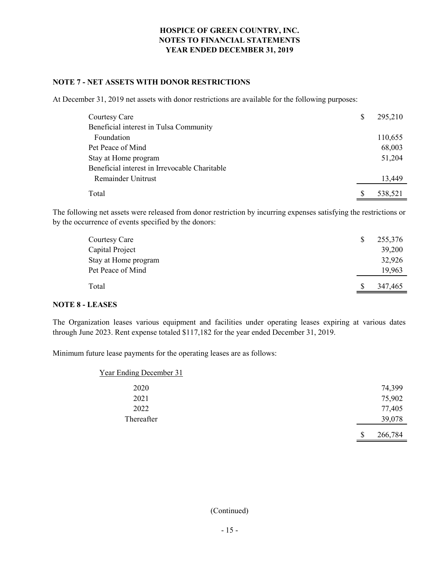#### **NOTE 7 - NET ASSETS WITH DONOR RESTRICTIONS**

At December 31, 2019 net assets with donor restrictions are available for the following purposes:

| Courtesy Care                                 | S | 295,210 |
|-----------------------------------------------|---|---------|
| Beneficial interest in Tulsa Community        |   |         |
| Foundation                                    |   | 110,655 |
| Pet Peace of Mind                             |   | 68,003  |
| Stay at Home program                          |   | 51,204  |
| Beneficial interest in Irrevocable Charitable |   |         |
| <b>Remainder Unitrust</b>                     |   | 13,449  |
| Total                                         | S | 538,521 |

The following net assets were released from donor restriction by incurring expenses satisfying the restrictions or by the occurrence of events specified by the donors:

| Courtesy Care        | \$ | 255,376 |
|----------------------|----|---------|
| Capital Project      |    | 39,200  |
| Stay at Home program |    | 32,926  |
| Pet Peace of Mind    |    | 19,963  |
| Total                | S  | 347,465 |

### **NOTE 8 - LEASES**

The Organization leases various equipment and facilities under operating leases expiring at various dates through June 2023. Rent expense totaled \$117,182 for the year ended December 31, 2019.

Minimum future lease payments for the operating leases are as follows:

| <b>Year Ending December 31</b> |         |
|--------------------------------|---------|
| 2020                           | 74,399  |
| 2021                           | 75,902  |
| 2022                           | 77,405  |
| Thereafter                     | 39,078  |
|                                | 266,784 |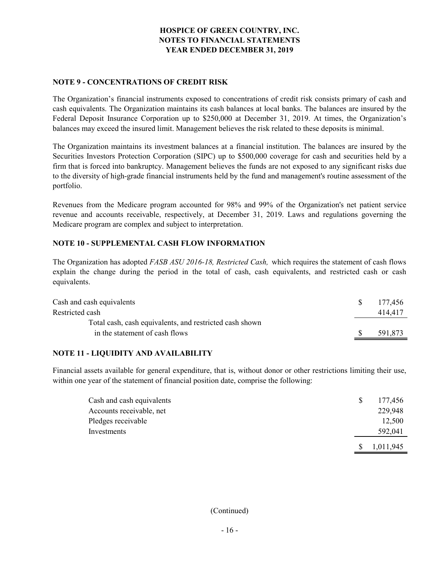### **NOTE 9 - CONCENTRATIONS OF CREDIT RISK**

The Organization's financial instruments exposed to concentrations of credit risk consists primary of cash and cash equivalents. The Organization maintains its cash balances at local banks. The balances are insured by the Federal Deposit Insurance Corporation up to \$250,000 at December 31, 2019. At times, the Organization's balances may exceed the insured limit. Management believes the risk related to these deposits is minimal.

The Organization maintains its investment balances at a financial institution. The balances are insured by the Securities Investors Protection Corporation (SIPC) up to \$500,000 coverage for cash and securities held by a firm that is forced into bankruptcy. Management believes the funds are not exposed to any significant risks due to the diversity of high-grade financial instruments held by the fund and management's routine assessment of the portfolio.

Revenues from the Medicare program accounted for 98% and 99% of the Organization's net patient service revenue and accounts receivable, respectively, at December 31, 2019. Laws and regulations governing the Medicare program are complex and subject to interpretation.

#### **NOTE 10 - SUPPLEMENTAL CASH FLOW INFORMATION**

The Organization has adopted *FASB ASU 2016-18, Restricted Cash,* which requires the statement of cash flows explain the change during the period in the total of cash, cash equivalents, and restricted cash or cash equivalents.

| Cash and cash equivalents                               | \$ 177,456 |
|---------------------------------------------------------|------------|
| Restricted cash                                         | 414,417    |
| Total cash, cash equivalents, and restricted cash shown |            |
| in the statement of cash flows                          | 591.873    |

#### **NOTE 11 - LIQUIDITY AND AVAILABILITY**

Financial assets available for general expenditure, that is, without donor or other restrictions limiting their use, within one year of the statement of financial position date, comprise the following:

| Cash and cash equivalents | S. | 177,456   |
|---------------------------|----|-----------|
| Accounts receivable, net  |    | 229,948   |
| Pledges receivable        |    | 12,500    |
| Investments               |    | 592,041   |
|                           |    | 1,011,945 |